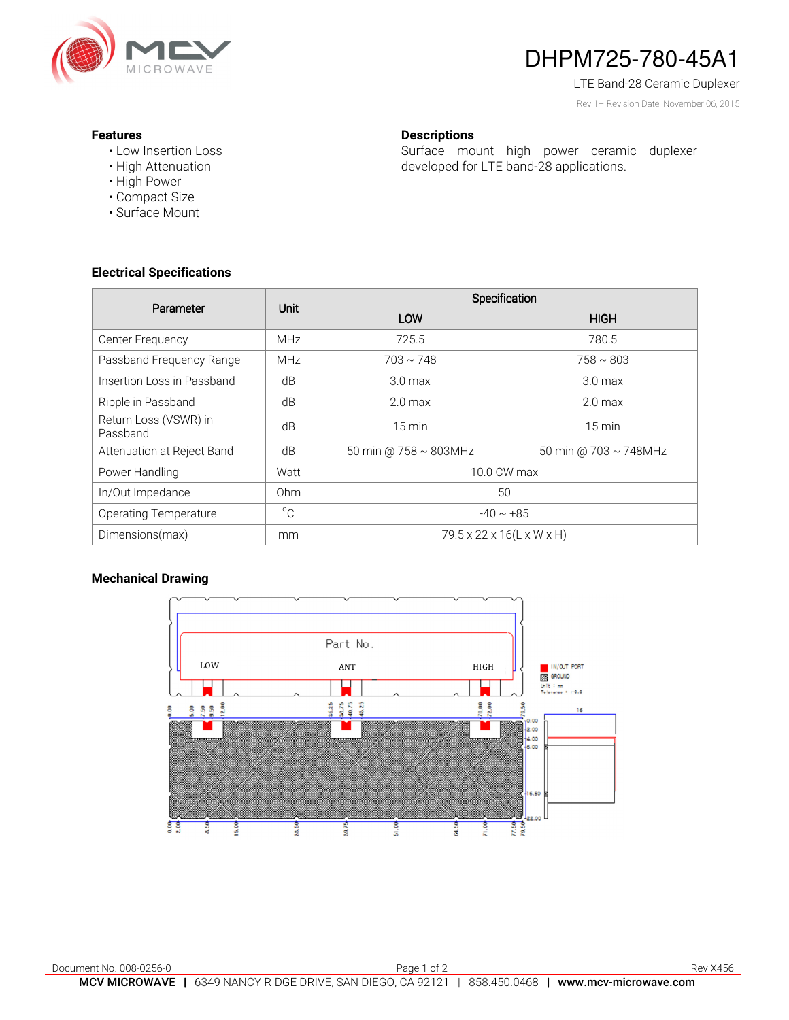

# DHPM725-780-45A1

Surface mount high power ceramic duplexer

developed for LTE band-28 applications.

LTE Band-28 Ceramic Duplexer

Rev 1– Revision Date: November 06, 2015

#### **Features**

- Low Insertion Loss
- High Attenuation
- High Power
- Compact Size
- Surface Mount

### **Electrical Specifications**

| Parameter                         | Unit            | Specification               |                       |
|-----------------------------------|-----------------|-----------------------------|-----------------------|
|                                   |                 | LOW                         | <b>HIGH</b>           |
| Center Frequency                  | <b>MHz</b>      | 725.5                       | 780.5                 |
| Passband Frequency Range          | <b>MHz</b>      | $703 \sim 748$              | $758 \sim 803$        |
| Insertion Loss in Passband        | dB              | 3.0 <sub>max</sub>          | 3.0 <sub>max</sub>    |
| Ripple in Passband                | dB              | 2.0 <sub>max</sub>          | 2.0 <sub>max</sub>    |
| Return Loss (VSWR) in<br>Passband | dB              | $15 \text{ min}$            | $15 \text{ min}$      |
| Attenuation at Reject Band        | dB              | 50 min @ $758 \sim 803$ MHz | 50 min @ 703 ~ 748MHz |
| Power Handling                    | Watt            | 10.0 CW max                 |                       |
| In/Out Impedance                  | 0 <sub>hm</sub> | 50                          |                       |
| <b>Operating Temperature</b>      | $^{\circ}C$     | $-40 \sim +85$              |                       |
| Dimensions(max)                   | mm              | 79.5 x 22 x 16(L x W x H)   |                       |

**Descriptions** 

### **Mechanical Drawing**